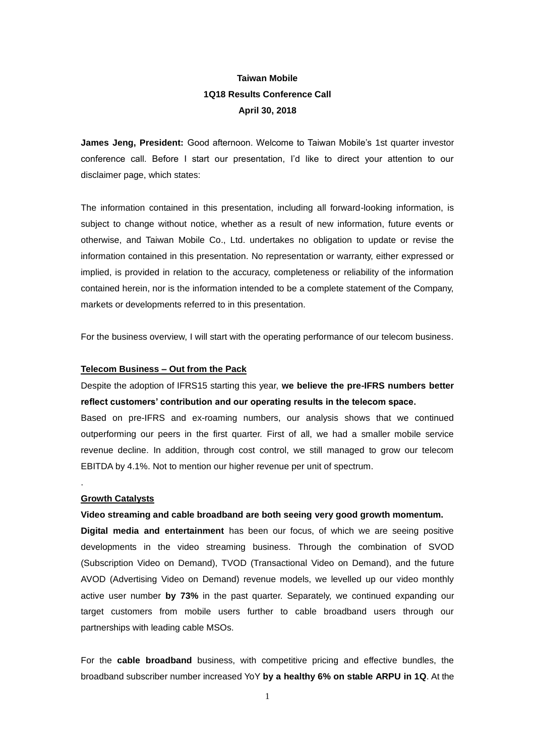# **Taiwan Mobile 1Q18 Results Conference Call April 30, 2018**

**James Jeng, President:** Good afternoon. Welcome to Taiwan Mobile's 1st quarter investor conference call. Before I start our presentation, I'd like to direct your attention to our disclaimer page, which states:

The information contained in this presentation, including all forward-looking information, is subject to change without notice, whether as a result of new information, future events or otherwise, and Taiwan Mobile Co., Ltd. undertakes no obligation to update or revise the information contained in this presentation. No representation or warranty, either expressed or implied, is provided in relation to the accuracy, completeness or reliability of the information contained herein, nor is the information intended to be a complete statement of the Company, markets or developments referred to in this presentation.

For the business overview, I will start with the operating performance of our telecom business.

# **Telecom Business – Out from the Pack**

Despite the adoption of IFRS15 starting this year, **we believe the pre-IFRS numbers better reflect customers' contribution and our operating results in the telecom space.** 

Based on pre-IFRS and ex-roaming numbers, our analysis shows that we continued outperforming our peers in the first quarter. First of all, we had a smaller mobile service revenue decline. In addition, through cost control, we still managed to grow our telecom EBITDA by 4.1%. Not to mention our higher revenue per unit of spectrum.

#### **Growth Catalysts**

.

### **Video streaming and cable broadband are both seeing very good growth momentum.**

**Digital media and entertainment** has been our focus, of which we are seeing positive developments in the video streaming business. Through the combination of SVOD (Subscription Video on Demand), TVOD (Transactional Video on Demand), and the future AVOD (Advertising Video on Demand) revenue models, we levelled up our video monthly active user number **by 73%** in the past quarter. Separately, we continued expanding our target customers from mobile users further to cable broadband users through our partnerships with leading cable MSOs.

For the **cable broadband** business, with competitive pricing and effective bundles, the broadband subscriber number increased YoY **by a healthy 6% on stable ARPU in 1Q**. At the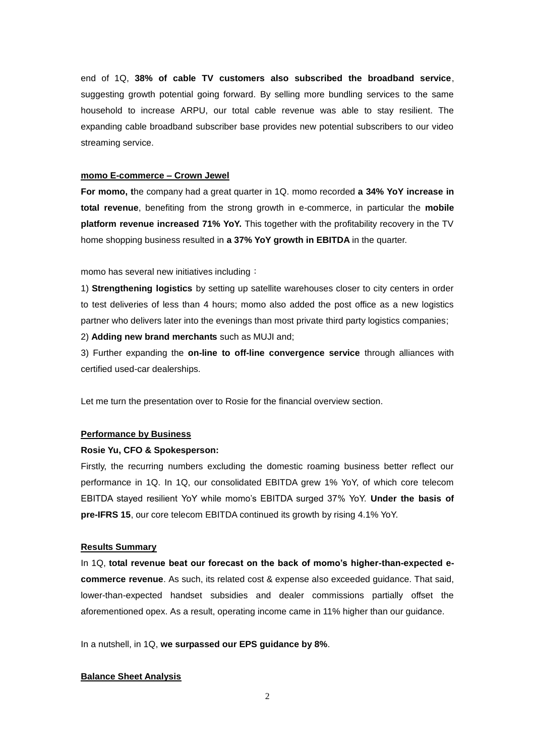end of 1Q, **38% of cable TV customers also subscribed the broadband service**, suggesting growth potential going forward. By selling more bundling services to the same household to increase ARPU, our total cable revenue was able to stay resilient. The expanding cable broadband subscriber base provides new potential subscribers to our video streaming service.

### **momo E-commerce – Crown Jewel**

**For momo, t**he company had a great quarter in 1Q. momo recorded **a 34% YoY increase in total revenue**, benefiting from the strong growth in e-commerce, in particular the **mobile platform revenue increased 71% YoY.** This together with the profitability recovery in the TV home shopping business resulted in **a 37% YoY growth in EBITDA** in the quarter.

momo has several new initiatives including:

1) **Strengthening logistics** by setting up satellite warehouses closer to city centers in order to test deliveries of less than 4 hours; momo also added the post office as a new logistics partner who delivers later into the evenings than most private third party logistics companies;

2) **Adding new brand merchants** such as MUJI and;

3) Further expanding the **on-line to off-line convergence service** through alliances with certified used-car dealerships.

Let me turn the presentation over to Rosie for the financial overview section.

# **Performance by Business**

#### **Rosie Yu, CFO & Spokesperson:**

Firstly, the recurring numbers excluding the domestic roaming business better reflect our performance in 1Q. In 1Q, our consolidated EBITDA grew 1% YoY, of which core telecom EBITDA stayed resilient YoY while momo's EBITDA surged 37% YoY. **Under the basis of pre-IFRS 15**, our core telecom EBITDA continued its growth by rising 4.1% YoY.

# **Results Summary**

In 1Q, **total revenue beat our forecast on the back of momo's higher-than-expected ecommerce revenue**. As such, its related cost & expense also exceeded guidance. That said, lower-than-expected handset subsidies and dealer commissions partially offset the aforementioned opex. As a result, operating income came in 11% higher than our guidance.

In a nutshell, in 1Q, **we surpassed our EPS guidance by 8%**.

### **Balance Sheet Analysis**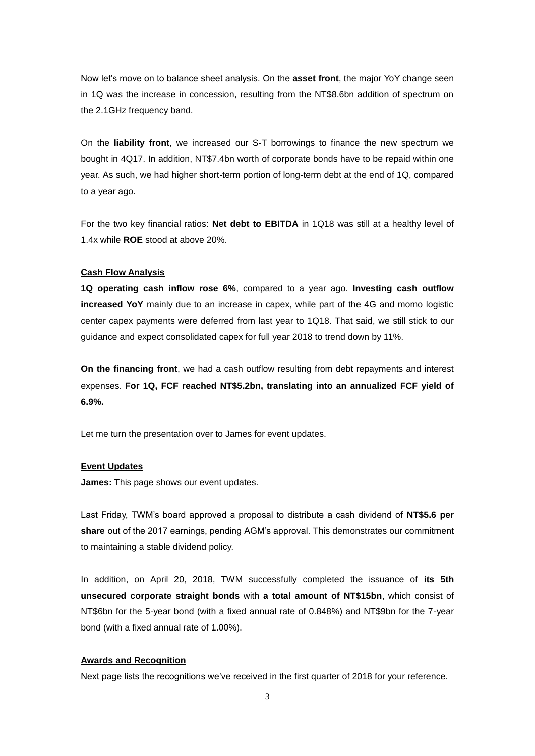Now let's move on to balance sheet analysis. On the **asset front**, the major YoY change seen in 1Q was the increase in concession, resulting from the NT\$8.6bn addition of spectrum on the 2.1GHz frequency band.

On the **liability front**, we increased our S-T borrowings to finance the new spectrum we bought in 4Q17. In addition, NT\$7.4bn worth of corporate bonds have to be repaid within one year. As such, we had higher short-term portion of long-term debt at the end of 1Q, compared to a year ago.

For the two key financial ratios: **Net debt to EBITDA** in 1Q18 was still at a healthy level of 1.4x while **ROE** stood at above 20%.

### **Cash Flow Analysis**

**1Q operating cash inflow rose 6%**, compared to a year ago. **Investing cash outflow increased YoY** mainly due to an increase in capex, while part of the 4G and momo logistic center capex payments were deferred from last year to 1Q18. That said, we still stick to our guidance and expect consolidated capex for full year 2018 to trend down by 11%.

**On the financing front**, we had a cash outflow resulting from debt repayments and interest expenses. **For 1Q, FCF reached NT\$5.2bn, translating into an annualized FCF yield of 6.9%.**

Let me turn the presentation over to James for event updates.

## **Event Updates**

**James:** This page shows our event updates.

Last Friday, TWM's board approved a proposal to distribute a cash dividend of **NT\$5.6 per share** out of the 2017 earnings, pending AGM's approval. This demonstrates our commitment to maintaining a stable dividend policy.

In addition, on April 20, 2018, TWM successfully completed the issuance of **its 5th unsecured corporate straight bonds** with **a total amount of NT\$15bn**, which consist of NT\$6bn for the 5-year bond (with a fixed annual rate of 0.848%) and NT\$9bn for the 7-year bond (with a fixed annual rate of 1.00%).

#### **Awards and Recognition**

Next page lists the recognitions we've received in the first quarter of 2018 for your reference.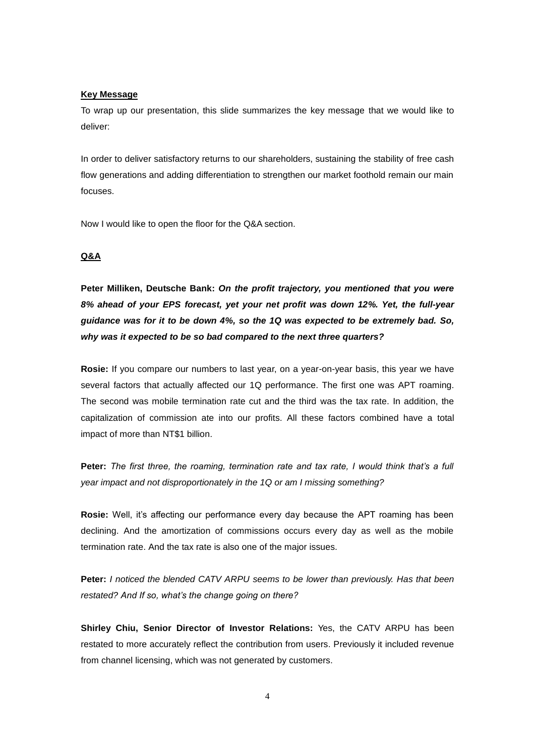### **Key Message**

To wrap up our presentation, this slide summarizes the key message that we would like to deliver:

In order to deliver satisfactory returns to our shareholders, sustaining the stability of free cash flow generations and adding differentiation to strengthen our market foothold remain our main focuses.

Now I would like to open the floor for the Q&A section.

### **Q&A**

**Peter Milliken, Deutsche Bank:** *On the profit trajectory, you mentioned that you were 8% ahead of your EPS forecast, yet your net profit was down 12%. Yet, the full-year guidance was for it to be down 4%, so the 1Q was expected to be extremely bad. So, why was it expected to be so bad compared to the next three quarters?*

**Rosie:** If you compare our numbers to last year, on a year-on-year basis, this year we have several factors that actually affected our 1Q performance. The first one was APT roaming. The second was mobile termination rate cut and the third was the tax rate. In addition, the capitalization of commission ate into our profits. All these factors combined have a total impact of more than NT\$1 billion.

**Peter:** *The first three, the roaming, termination rate and tax rate, I would think that's a full year impact and not disproportionately in the 1Q or am I missing something?*

**Rosie:** Well, it's affecting our performance every day because the APT roaming has been declining. And the amortization of commissions occurs every day as well as the mobile termination rate. And the tax rate is also one of the major issues.

**Peter:** *I noticed the blended CATV ARPU seems to be lower than previously. Has that been restated? And If so, what's the change going on there?*

**Shirley Chiu, Senior Director of Investor Relations:** Yes, the CATV ARPU has been restated to more accurately reflect the contribution from users. Previously it included revenue from channel licensing, which was not generated by customers.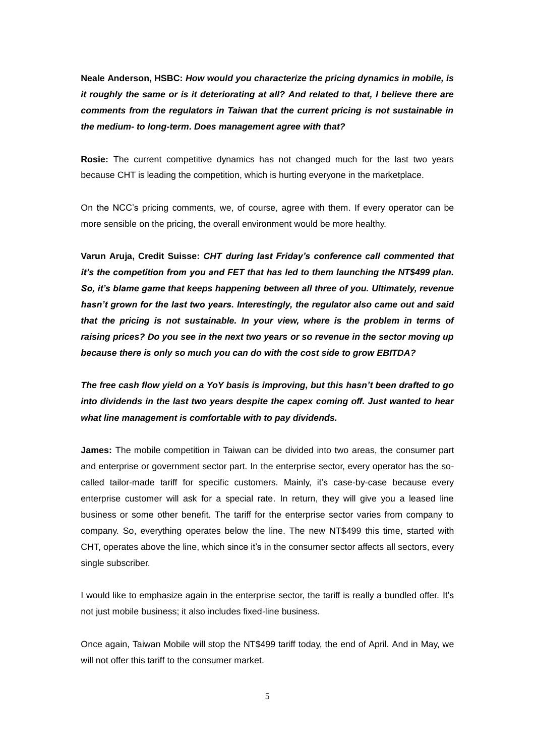**Neale Anderson, HSBC:** *How would you characterize the pricing dynamics in mobile, is it roughly the same or is it deteriorating at all? And related to that, I believe there are comments from the regulators in Taiwan that the current pricing is not sustainable in the medium- to long-term. Does management agree with that?*

**Rosie:** The current competitive dynamics has not changed much for the last two years because CHT is leading the competition, which is hurting everyone in the marketplace.

On the NCC's pricing comments, we, of course, agree with them. If every operator can be more sensible on the pricing, the overall environment would be more healthy.

**Varun Aruja, Credit Suisse:** *CHT during last Friday's conference call commented that it's the competition from you and FET that has led to them launching the NT\$499 plan. So, it's blame game that keeps happening between all three of you. Ultimately, revenue hasn't grown for the last two years. Interestingly, the regulator also came out and said that the pricing is not sustainable. In your view, where is the problem in terms of raising prices? Do you see in the next two years or so revenue in the sector moving up because there is only so much you can do with the cost side to grow EBITDA?*

*The free cash flow yield on a YoY basis is improving, but this hasn't been drafted to go into dividends in the last two years despite the capex coming off. Just wanted to hear what line management is comfortable with to pay dividends.*

**James:** The mobile competition in Taiwan can be divided into two areas, the consumer part and enterprise or government sector part. In the enterprise sector, every operator has the socalled tailor-made tariff for specific customers. Mainly, it's case-by-case because every enterprise customer will ask for a special rate. In return, they will give you a leased line business or some other benefit. The tariff for the enterprise sector varies from company to company. So, everything operates below the line. The new NT\$499 this time, started with CHT, operates above the line, which since it's in the consumer sector affects all sectors, every single subscriber.

I would like to emphasize again in the enterprise sector, the tariff is really a bundled offer. It's not just mobile business; it also includes fixed-line business.

Once again, Taiwan Mobile will stop the NT\$499 tariff today, the end of April. And in May, we will not offer this tariff to the consumer market.